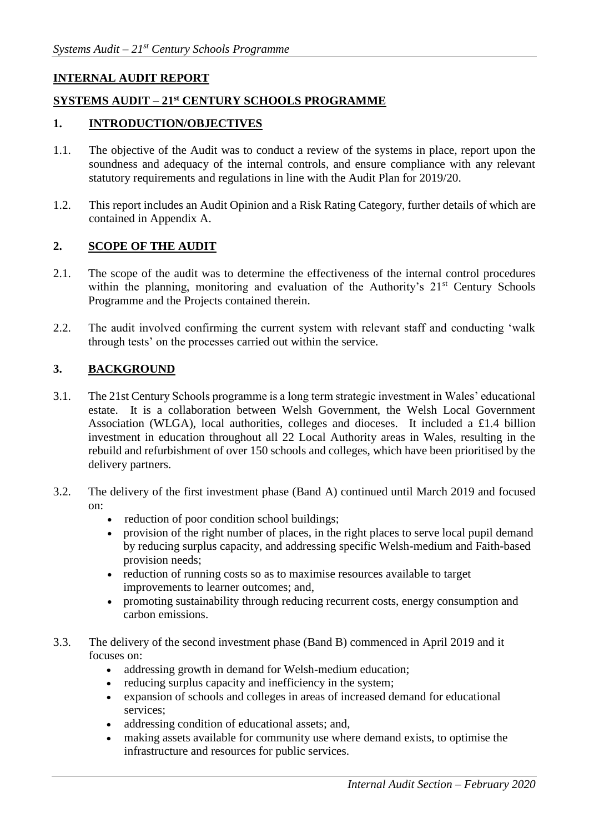## **INTERNAL AUDIT REPORT**

# **SYSTEMS AUDIT – 21st CENTURY SCHOOLS PROGRAMME**

#### **1. INTRODUCTION/OBJECTIVES**

- 1.1. The objective of the Audit was to conduct a review of the systems in place, report upon the soundness and adequacy of the internal controls, and ensure compliance with any relevant statutory requirements and regulations in line with the Audit Plan for 2019/20.
- 1.2. This report includes an Audit Opinion and a Risk Rating Category, further details of which are contained in Appendix A.

#### **2. SCOPE OF THE AUDIT**

- 2.1. The scope of the audit was to determine the effectiveness of the internal control procedures within the planning, monitoring and evaluation of the Authority's  $21<sup>st</sup>$  Century Schools Programme and the Projects contained therein.
- 2.2. The audit involved confirming the current system with relevant staff and conducting 'walk through tests' on the processes carried out within the service.

#### **3. BACKGROUND**

- 3.1. The 21st Century Schools programme is a long term strategic investment in Wales' educational estate. It is a collaboration between Welsh Government, the Welsh Local Government Association (WLGA), local authorities, colleges and dioceses. It included a £1.4 billion investment in education throughout all 22 Local Authority areas in Wales, resulting in the rebuild and refurbishment of over 150 schools and colleges, which have been prioritised by the delivery partners.
- 3.2. The delivery of the first investment phase (Band A) continued until March 2019 and focused on:
	- reduction of poor condition school buildings;
	- provision of the right number of places, in the right places to serve local pupil demand by reducing surplus capacity, and addressing specific Welsh-medium and Faith-based provision needs;
	- reduction of running costs so as to maximise resources available to target improvements to learner outcomes; and,
	- promoting sustainability through reducing recurrent costs, energy consumption and carbon emissions.
- 3.3. The delivery of the second investment phase (Band B) commenced in April 2019 and it focuses on:
	- addressing growth in demand for Welsh-medium education;
	- reducing surplus capacity and inefficiency in the system;
	- expansion of schools and colleges in areas of increased demand for educational services;
	- addressing condition of educational assets; and,
	- making assets available for community use where demand exists, to optimise the infrastructure and resources for public services.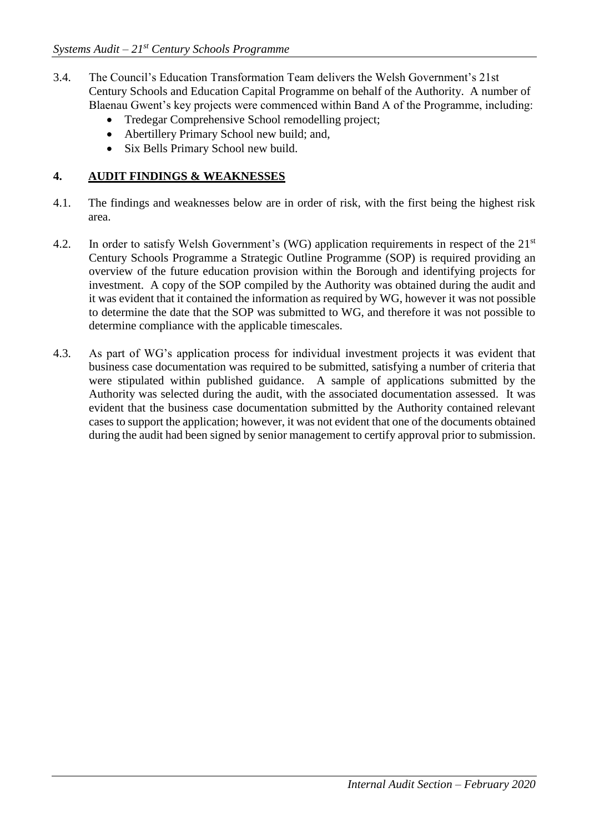- 3.4. The Council's Education Transformation Team delivers the Welsh Government's 21st Century Schools and Education Capital Programme on behalf of the Authority. A number of Blaenau Gwent's key projects were commenced within Band A of the Programme, including:
	- Tredegar Comprehensive School remodelling project;
	- Abertillery Primary School new build; and,
	- Six Bells Primary School new build.

## **4. AUDIT FINDINGS & WEAKNESSES**

- 4.1. The findings and weaknesses below are in order of risk, with the first being the highest risk area.
- 4.2. In order to satisfy Welsh Government's (WG) application requirements in respect of the 21<sup>st</sup> Century Schools Programme a Strategic Outline Programme (SOP) is required providing an overview of the future education provision within the Borough and identifying projects for investment. A copy of the SOP compiled by the Authority was obtained during the audit and it was evident that it contained the information as required by WG, however it was not possible to determine the date that the SOP was submitted to WG, and therefore it was not possible to determine compliance with the applicable timescales.
- 4.3. As part of WG's application process for individual investment projects it was evident that business case documentation was required to be submitted, satisfying a number of criteria that were stipulated within published guidance. A sample of applications submitted by the Authority was selected during the audit, with the associated documentation assessed. It was evident that the business case documentation submitted by the Authority contained relevant cases to support the application; however, it was not evident that one of the documents obtained during the audit had been signed by senior management to certify approval prior to submission.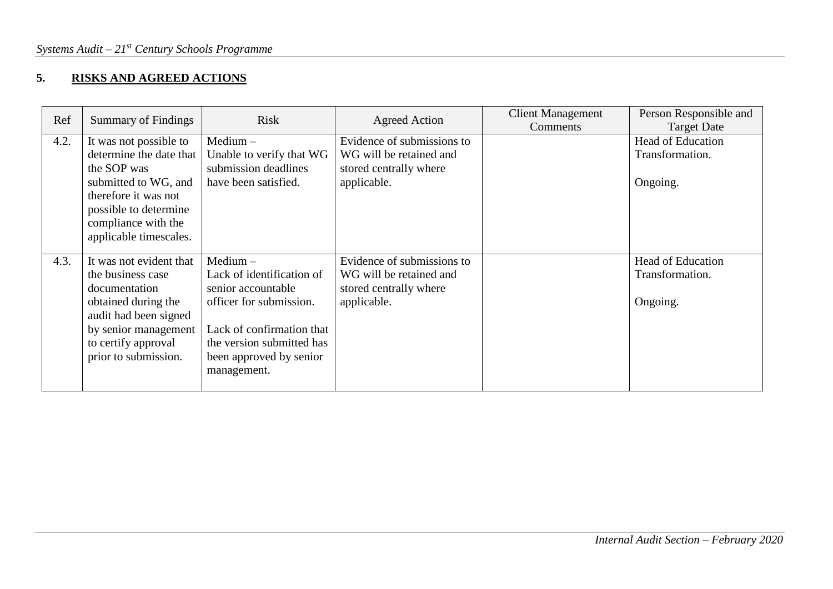# **5. RISKS AND AGREED ACTIONS**

| Ref  | <b>Summary of Findings</b>                                                                                                                                                                 | <b>Risk</b>                                                                                                                                                                                  | Agreed Action                                                                                  | <b>Client Management</b><br>Comments | Person Responsible and<br><b>Target Date</b>            |
|------|--------------------------------------------------------------------------------------------------------------------------------------------------------------------------------------------|----------------------------------------------------------------------------------------------------------------------------------------------------------------------------------------------|------------------------------------------------------------------------------------------------|--------------------------------------|---------------------------------------------------------|
| 4.2. | It was not possible to<br>determine the date that<br>the SOP was<br>submitted to WG, and<br>therefore it was not<br>possible to determine<br>compliance with the<br>applicable timescales. | $Median -$<br>Unable to verify that WG<br>submission deadlines<br>have been satisfied.                                                                                                       | Evidence of submissions to<br>WG will be retained and<br>stored centrally where<br>applicable. |                                      | <b>Head of Education</b><br>Transformation.<br>Ongoing. |
| 4.3. | It was not evident that<br>the business case<br>documentation<br>obtained during the<br>audit had been signed<br>by senior management<br>to certify approval<br>prior to submission.       | $Median -$<br>Lack of identification of<br>senior accountable<br>officer for submission.<br>Lack of confirmation that<br>the version submitted has<br>been approved by senior<br>management. | Evidence of submissions to<br>WG will be retained and<br>stored centrally where<br>applicable. |                                      | <b>Head of Education</b><br>Transformation.<br>Ongoing. |